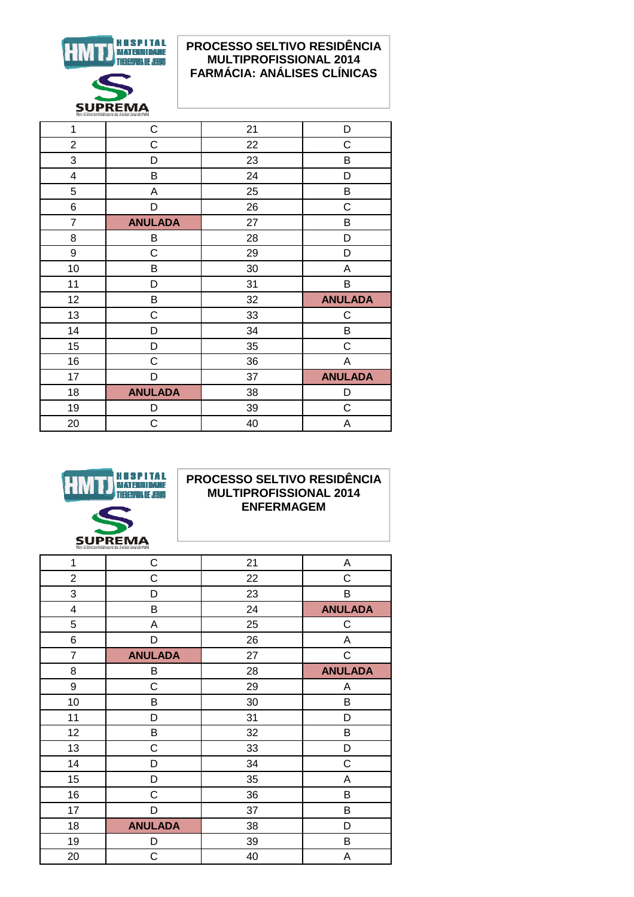

## PROCESSO SELTIVO RESIDÊNCIA **MULTIPROFISSIONAL 2014 FARMÁCIA: ANÁLISES CLÍNICAS**

| 1                       | C              | 21 | D              |
|-------------------------|----------------|----|----------------|
| $\overline{c}$          | C              | 22 | $\mathsf C$    |
| 3                       | D              | 23 | В              |
| $\overline{\mathbf{4}}$ | B              | 24 | D              |
| 5                       | A              | 25 | B              |
| 6                       | D              | 26 | $\mathsf C$    |
| $\overline{7}$          | <b>ANULADA</b> | 27 | B              |
| 8                       | B              | 28 | D              |
| 9                       | C              | 29 | D              |
| 10                      | B              | 30 | Α              |
| 11                      | D              | 31 | B              |
| 12                      | B              | 32 | <b>ANULADA</b> |
| 13                      | C              | 33 | $\mathsf C$    |
| 14                      | D              | 34 | В              |
| 15                      | D              | 35 | $\mathsf C$    |
| 16                      | C              | 36 | A              |
| 17                      | D              | 37 | <b>ANULADA</b> |
| 18                      | <b>ANULADA</b> | 38 | D              |
| 19                      | D              | 39 | $\mathsf C$    |
| 20                      | C              | 40 | Α              |
|                         |                |    |                |



### PROCESSO SELTIVO RESIDÊNCIA **MULTIPROFISSIONAL 2014 ENFERMAGEM**

| C              | 21 | Α              |
|----------------|----|----------------|
| C              | 22 | $\mathsf C$    |
| D              | 23 | B              |
| B              | 24 | <b>ANULADA</b> |
| A              | 25 | $\mathsf C$    |
| D              | 26 | Α              |
| <b>ANULADA</b> | 27 | $\mathsf C$    |
| B              | 28 | <b>ANULADA</b> |
| $\mathsf C$    | 29 | Α              |
| B              | 30 | B              |
| D              | 31 | D              |
| B              | 32 | B              |
| C              | 33 | D              |
| D              | 34 | $\mathsf C$    |
| D              | 35 | А              |
| $\mathsf C$    | 36 | B              |
| D              | 37 | B              |
| <b>ANULADA</b> | 38 | D              |
| D              | 39 | В              |
| C              | 40 | А              |
|                |    |                |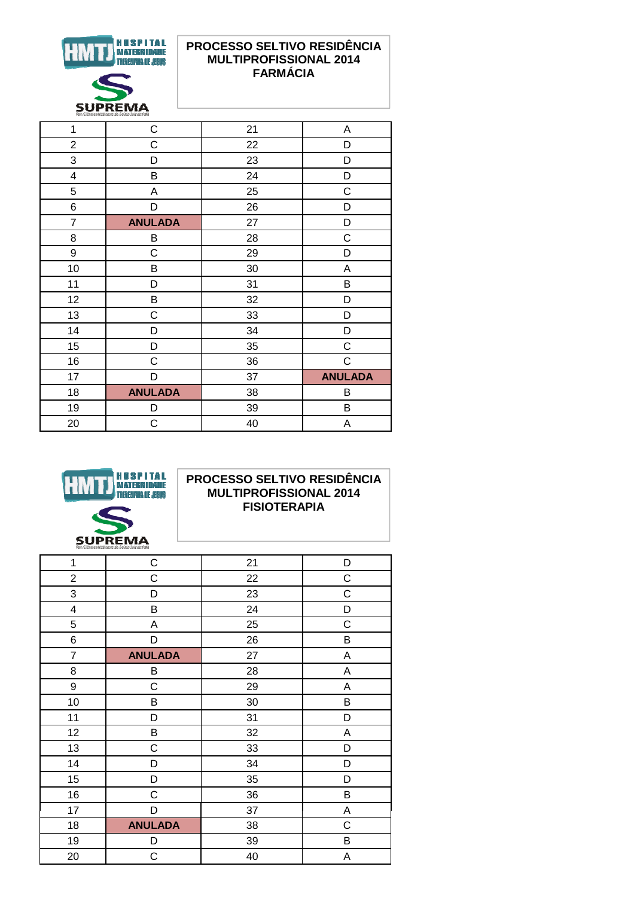

## PROCESSO SELTIVO RESIDÊNCIA **MULTIPROFISSIONAL 2014 FARMÁCIA**

|                |    | fac. Ciencias Médicas e da Saude Juiz de Fera |  |  |  |
|----------------|----|-----------------------------------------------|--|--|--|
| $\mathsf{C}$   | 21 | Α                                             |  |  |  |
| С              | 22 | D                                             |  |  |  |
| D              | 23 | D                                             |  |  |  |
| В              | 24 | D                                             |  |  |  |
| A              | 25 | $\mathsf C$                                   |  |  |  |
| D              | 26 | D                                             |  |  |  |
| <b>ANULADA</b> | 27 | D                                             |  |  |  |
| B              | 28 | C                                             |  |  |  |
| C              | 29 | D                                             |  |  |  |
| В              | 30 | А                                             |  |  |  |
| D              | 31 | B                                             |  |  |  |
| B              | 32 | D                                             |  |  |  |
| C              | 33 | D                                             |  |  |  |
| D              | 34 | D                                             |  |  |  |
| D              | 35 | C                                             |  |  |  |
| C              | 36 | $\mathsf C$                                   |  |  |  |
| D              | 37 | <b>ANULADA</b>                                |  |  |  |
| <b>ANULADA</b> | 38 | В                                             |  |  |  |
| D              | 39 | B                                             |  |  |  |
| C              | 40 | Α                                             |  |  |  |
|                |    |                                               |  |  |  |



#### PROCESSO SELTIVO RESIDÊNCIA **MULTIPROFISSIONAL 2014 FISIOTERAPIA**

| THEN SERIES AND RELEASED FOR THE STATE OF STATES. |                |    |             |
|---------------------------------------------------|----------------|----|-------------|
| $\mathbf{1}$                                      | $\mathsf C$    | 21 | D           |
| $\overline{c}$                                    | C              | 22 | C           |
| 3                                                 | D              | 23 | С           |
| 4                                                 | B              | 24 | D           |
| 5                                                 | A              | 25 | $\mathsf C$ |
| 6                                                 | D              | 26 | В           |
| $\overline{7}$                                    | <b>ANULADA</b> | 27 | A           |
| 8                                                 | B              | 28 | Α           |
| 9                                                 | $\mathsf C$    | 29 | Α           |
| 10                                                | B              | 30 | В           |
| 11                                                | D              | 31 | D           |
| 12                                                | B              | 32 | Α           |
| 13                                                | C              | 33 | D           |
| 14                                                | D              | 34 | D           |
| 15                                                | D              | 35 | D           |
| 16                                                | C              | 36 | B           |
| 17                                                | D              | 37 | Α           |
| 18                                                | <b>ANULADA</b> | 38 | C           |
| 19                                                | D              | 39 | B           |
| 20                                                | $\mathsf C$    | 40 | Α           |